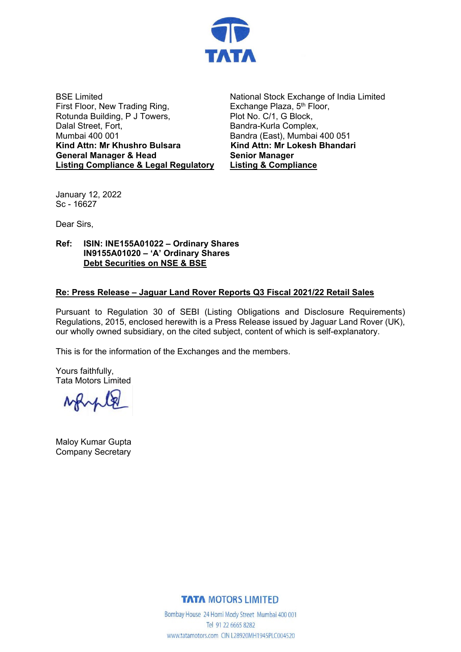

BSE Limited First Floor, New Trading Ring, Rotunda Building, P J Towers, Dalal Street, Fort, Mumbai 400 001 **Kind Attn: Mr Khushro Bulsara General Manager & Head Listing Compliance & Legal Regulatory**

National Stock Exchange of India Limited Exchange Plaza, 5<sup>th</sup> Floor, Plot No. C/1, G Block, Bandra-Kurla Complex, Bandra (East), Mumbai 400 051 **Kind Attn: Mr Lokesh Bhandari Senior Manager Listing & Compliance**

January 12, 2022 Sc - 16627

Dear Sirs,

**Ref: ISIN: INE155A01022 – Ordinary Shares IN9155A01020 – 'A' Ordinary Shares Debt Securities on NSE & BSE**

## **Re: Press Release – Jaguar Land Rover Reports Q3 Fiscal 2021/22 Retail Sales**

Pursuant to Regulation 30 of SEBI (Listing Obligations and Disclosure Requirements) Regulations, 2015, enclosed herewith is a Press Release issued by Jaguar Land Rover (UK), our wholly owned subsidiary, on the cited subject, content of which is self-explanatory.

This is for the information of the Exchanges and the members.

Yours faithfully, Tata Motors Limited

Maloy Kumar Gupta Company Secretary

**TATA MOTORS LIMITED** 

Bombay House 24 Homi Mody Street Mumbai 400 001 Tel 91 22 6665 8282 www.tatamotors.com CIN L28920MH1945PLC004520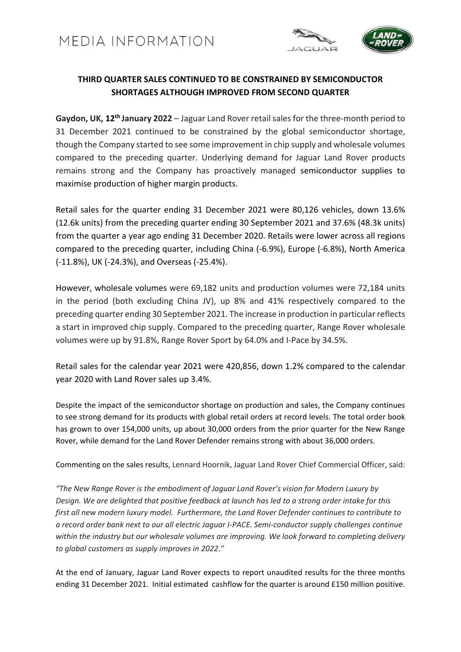

## **THIRD QUARTER SALES CONTINUED TO BE CONSTRAINED BY SEMICONDUCTOR SHORTAGES ALTHOUGH IMPROVED FROM SECOND QUARTER**

**Gaydon, UK, 12th January 2022** – Jaguar Land Rover retail sales for the three-month period to 31 December 2021 continued to be constrained by the global semiconductor shortage, though the Company started to see some improvement in chip supply and wholesale volumes compared to the preceding quarter. Underlying demand for Jaguar Land Rover products remains strong and the Company has proactively managed semiconductor supplies to maximise production of higher margin products.

Retail sales for the quarter ending 31 December 2021 were 80,126 vehicles, down 13.6% (12.6k units) from the preceding quarter ending 30 September 2021 and 37.6% (48.3k units) from the quarter a year ago ending 31 December 2020. Retails were lower across all regions compared to the preceding quarter, including China (-6.9%), Europe (-6.8%), North America (-11.8%), UK (-24.3%), and Overseas (-25.4%).

However, wholesale volumes were 69,182 units and production volumes were 72,184 units in the period (both excluding China JV), up 8% and 41% respectively compared to the preceding quarter ending 30 September 2021. The increase in production in particular reflects a start in improved chip supply. Compared to the preceding quarter, Range Rover wholesale volumes were up by 91.8%, Range Rover Sport by 64.0% and I-Pace by 34.5%.

Retail sales for the calendar year 2021 were 420,856, down 1.2% compared to the calendar year 2020 with Land Rover sales up 3.4%.

Despite the impact of the semiconductor shortage on production and sales, the Company continues to see strong demand for its products with global retail orders at record levels. The total order book has grown to over 154,000 units, up about 30,000 orders from the prior quarter for the New Range Rover, while demand for the Land Rover Defender remains strong with about 36,000 orders.

Commenting on the sales results, Lennard Hoornik, Jaguar Land Rover Chief Commercial Officer, said:

*"The New Range Rover is the embodiment of Jaguar Land Rover's vision for Modern Luxury by* Design. We are delighted that positive feedback at launch has led to a strong order intake for this *first all new modern luxury model. Furthermore, the Land Rover Defender continues to contribute to a record order bank next to our all electric Jaguar I-PACE. Semi-conductor supply challenges continue within the industry but our wholesale volumes are improving. We look forward to completing delivery to global customers as supply improves in 2022."*

At the end of January, Jaguar Land Rover expects to report unaudited results for the three months ending 31 December 2021. Initial estimated cashflow for the quarter is around £150 million positive.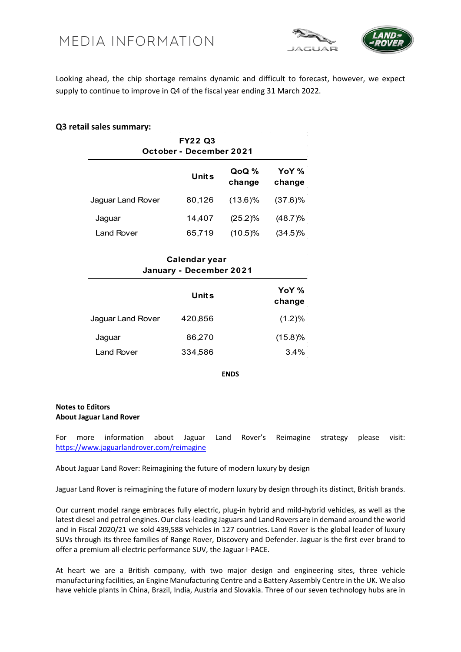



Looking ahead, the chip shortage remains dynamic and difficult to forecast, however, we expect supply to continue to improve in Q4 of the fiscal year ending 31 March 2022.

## **Q3 retail sales summary:**

| <b>FY22 Q3</b><br>October - December 2021 |                                                 |                 |                 |  |
|-------------------------------------------|-------------------------------------------------|-----------------|-----------------|--|
|                                           | <b>Units</b>                                    | QoQ %<br>change | YoY %<br>change |  |
| Jaguar Land Rover                         | 80,126                                          | $(13.6)\%$      | $(37.6)$ %      |  |
| Jaguar                                    | 14,407                                          | (25.2)%         | (48.7)%         |  |
| Land Rover                                | 65,719                                          | (10.5)%         | $(34.5)\%$      |  |
|                                           | <b>Calendar year</b><br>January - December 2021 |                 |                 |  |
|                                           |                                                 |                 | YoY %           |  |

|                   | Units   | YoY %<br>change |
|-------------------|---------|-----------------|
| Jaguar Land Rover | 420,856 | (1.2)%          |
| Jaguar            | 86,270  | (15.8)%         |
| Land Rover        | 334,586 | $3.4\%$         |

**ENDS**

## **Notes to Editors About Jaguar Land Rover**

For more information about Jaguar Land Rover's Reimagine strategy please visit: <https://www.jaguarlandrover.com/reimagine>

About Jaguar Land Rover: Reimagining the future of modern luxury by design

Jaguar Land Rover is reimagining the future of modern luxury by design through its distinct, British brands.

Our current model range embraces fully electric, plug-in hybrid and mild-hybrid vehicles, as well as the latest diesel and petrol engines. Our class-leading Jaguars and Land Rovers are in demand around the world

At heart we are a British company, with two major design and engineering sites, three vehicle manufacturing facilities, an Engine Manufacturing Centre and a Battery Assembly Centre in the UK. We also have vehicle plants in China, Brazil, India, Austria and Slovakia. Three of our seven technology hubs are in

and in Fiscal 2020/21 we sold 439,588 vehicles in 127 countries. Land Rover is the global leader of luxury SUVs through its three families of Range Rover, Discovery and Defender. Jaguar is the first ever brand to offer a premium all-electric performance SUV, the Jaguar I-PACE.